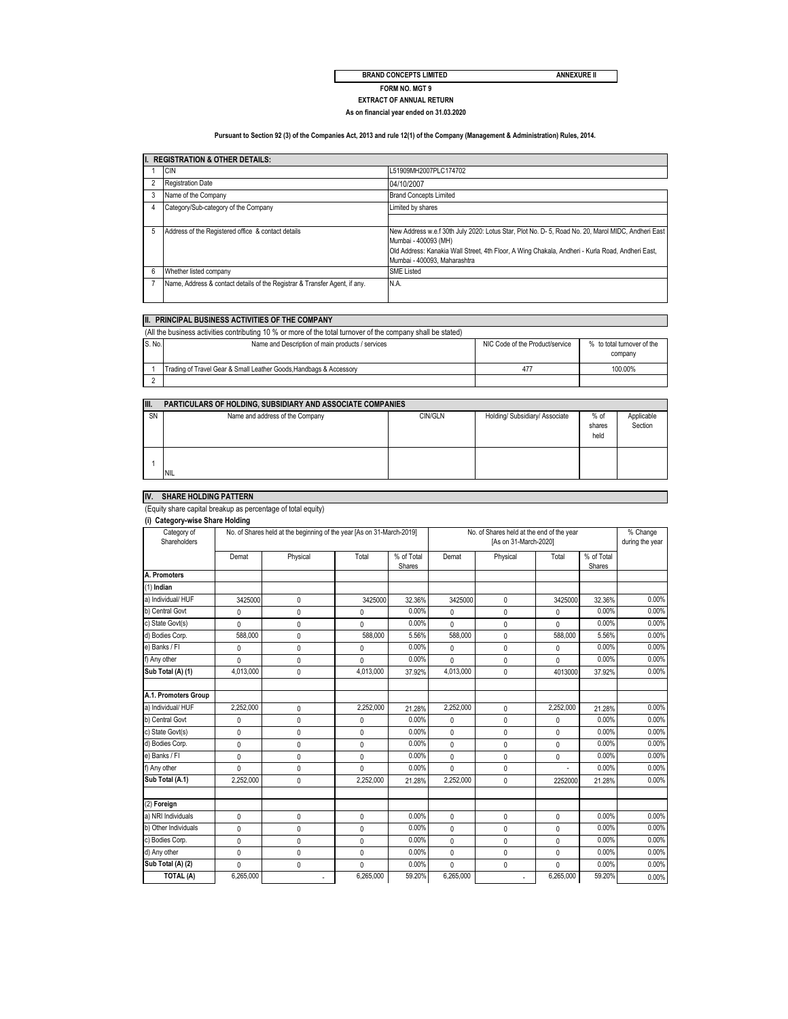#### **ANNEXURE II**

**BRAND CONCEPTS LIMITED**

**FORM NO. MGT 9**

#### **As on financial year ended on 31.03.2020 EXTRACT OF ANNUAL RETURN**

#### **Pursuant to Section 92 (3) of the Companies Act, 2013 and rule 12(1) of the Company (Management & Administration) Rules, 2014.**

|   | II. REGISTRATION & OTHER DETAILS:                                          |                                                                                                                                                                                                                                                                |  |  |  |  |
|---|----------------------------------------------------------------------------|----------------------------------------------------------------------------------------------------------------------------------------------------------------------------------------------------------------------------------------------------------------|--|--|--|--|
|   | <b>CIN</b>                                                                 | L51909MH2007PLC174702                                                                                                                                                                                                                                          |  |  |  |  |
|   | <b>Registration Date</b>                                                   | 04/10/2007                                                                                                                                                                                                                                                     |  |  |  |  |
|   | Name of the Company                                                        | <b>Brand Concepts Limited</b>                                                                                                                                                                                                                                  |  |  |  |  |
|   | Category/Sub-category of the Company                                       | Limited by shares                                                                                                                                                                                                                                              |  |  |  |  |
|   |                                                                            |                                                                                                                                                                                                                                                                |  |  |  |  |
| 5 | Address of the Registered office & contact details                         | New Address w.e.f 30th July 2020: Lotus Star, Plot No. D- 5, Road No. 20, Marol MIDC, Andheri East<br>Mumbai - 400093 (MH)<br>Old Address: Kanakia Wall Street, 4th Floor, A Wing Chakala, Andheri - Kurla Road, Andheri East,<br>Mumbai - 400093. Maharashtra |  |  |  |  |
| 6 | Whether listed company                                                     | <b>SME Listed</b>                                                                                                                                                                                                                                              |  |  |  |  |
|   | Name, Address & contact details of the Registrar & Transfer Agent, if any. | N.A.                                                                                                                                                                                                                                                           |  |  |  |  |

#### **II. PRINCIPAL BUSINESS ACTIVITIES OF THE COMPANY**

| (All the business activities contributing 10 % or more of the total turnover of the company shall be stated) |                                                                    |                                 |                                       |  |  |  |  |
|--------------------------------------------------------------------------------------------------------------|--------------------------------------------------------------------|---------------------------------|---------------------------------------|--|--|--|--|
| IS. No.                                                                                                      | Name and Description of main products / services                   | NIC Code of the Product/service | % to total turnover of the<br>company |  |  |  |  |
|                                                                                                              | Trading of Travel Gear & Small Leather Goods, Handbags & Accessory | 47                              | 100.00%                               |  |  |  |  |
|                                                                                                              |                                                                    |                                 |                                       |  |  |  |  |

| TII.      | PARTICULARS OF HOLDING, SUBSIDIARY AND ASSOCIATE COMPANIES |         |                                |                          |                       |
|-----------|------------------------------------------------------------|---------|--------------------------------|--------------------------|-----------------------|
| <b>SN</b> | Name and address of the Company                            | CIN/GLN | Holding/ Subsidiary/ Associate | $%$ of<br>shares<br>held | Applicable<br>Section |
|           | <b>INIL</b>                                                |         |                                |                          |                       |

## **IV. SHARE HOLDING PATTERN**

#### (Equity share capital breakup as percentage of total equity)

| Category of<br>Shareholders | No. of Shares held at the beginning of the year [As on 31-March-2019] |              |              | No. of Shares held at the end of the year<br>[As on 31-March-2020] |              |              | % Change<br>during the year |                      |       |
|-----------------------------|-----------------------------------------------------------------------|--------------|--------------|--------------------------------------------------------------------|--------------|--------------|-----------------------------|----------------------|-------|
|                             | Demat                                                                 | Physical     | Total        | % of Total<br>Shares                                               | Demat        | Physical     | Total                       | % of Total<br>Shares |       |
| A. Promoters                |                                                                       |              |              |                                                                    |              |              |                             |                      |       |
| $(1)$ Indian                |                                                                       |              |              |                                                                    |              |              |                             |                      |       |
| a) Individual/ HUF          | 3425000                                                               | 0            | 3425000      | 32.36%                                                             | 3425000      | $\mathbf{0}$ | 3425000                     | 32.36%               | 0.00% |
| b) Central Govt             | 0                                                                     | 0            | 0            | 0.00%                                                              | 0            | 0            | 0                           | 0.00%                | 0.00% |
| c) State Govt(s)            | $\mathbf{0}$                                                          | 0            | $\mathbf{0}$ | 0.00%                                                              | 0            | 0            | 0                           | 0.00%                | 0.00% |
| d) Bodies Corp.             | 588,000                                                               | $\mathbf{0}$ | 588,000      | 5.56%                                                              | 588,000      | 0            | 588,000                     | 5.56%                | 0.00% |
| e) Banks / FI               | 0                                                                     | 0            | 0            | 0.00%                                                              | 0            | $\mathbf{0}$ | 0                           | 0.00%                | 0.00% |
| f) Any other                | $\mathbf{0}$                                                          | $\mathbf{0}$ | $\mathbf{0}$ | 0.00%                                                              | 0            | 0            | 0                           | 0.00%                | 0.00% |
| Sub Total (A) (1)           | 4.013.000                                                             | 0            | 4.013.000    | 37.92%                                                             | 4.013.000    | 0            | 4013000                     | 37.92%               | 0.00% |
| A.1. Promoters Group        |                                                                       |              |              |                                                                    |              |              |                             |                      |       |
| a) Individual/ HUF          | 2,252,000                                                             | $\mathbf{0}$ | 2,252,000    | 21.28%                                                             | 2,252,000    | $\mathbf{0}$ | 2,252,000                   | 21.28%               | 0.00% |
| b) Central Govt             | 0                                                                     | $\mathbf{0}$ | $\mathbf 0$  | 0.00%                                                              | 0            | 0            | 0                           | 0.00%                | 0.00% |
| c) State Govt(s)            | 0                                                                     | $\mathbf{0}$ | 0            | 0.00%                                                              | 0            | 0            | 0                           | 0.00%                | 0.00% |
| d) Bodies Corp.             | 0                                                                     | 0            | 0            | 0.00%                                                              | $\mathbf{0}$ | 0            | 0                           | 0.00%                | 0.00% |
| e) Banks / FI               | 0                                                                     | 0            | $\mathbf{0}$ | 0.00%                                                              | $\mathbf{0}$ | $\mathbf{0}$ | 0                           | 0.00%                | 0.00% |
| f) Any other                | $\mathbf{0}$                                                          | 0            | $\mathbf{0}$ | 0.00%                                                              | 0            | 0            |                             | 0.00%                | 0.00% |
| Sub Total (A.1)             | 2,252,000                                                             | $\mathbf{0}$ | 2,252,000    | 21.28%                                                             | 2,252,000    | $\mathbf{0}$ | 2252000                     | 21.28%               | 0.00% |
| (2) Foreign                 |                                                                       |              |              |                                                                    |              |              |                             |                      |       |
| a) NRI Individuals          | $\mathbf{0}$                                                          | 0            | $\mathbf{0}$ | 0.00%                                                              | 0            | 0            | 0                           | 0.00%                | 0.00% |
| b) Other Individuals        | $\mathbf{0}$                                                          | $\pmb{0}$    | 0            | 0.00%                                                              | 0            | $\mathbf{0}$ | 0                           | 0.00%                | 0.00% |
| c) Bodies Corp.             | 0                                                                     | 0            | $\mathbf{0}$ | 0.00%                                                              | 0            | $\mathbf{0}$ | 0                           | 0.00%                | 0.00% |
| d) Any other                | 0                                                                     | $\mathbf{0}$ | $\mathbf 0$  | 0.00%                                                              | 0            | 0            | 0                           | 0.00%                | 0.00% |
| Sub Total (A) (2)           | $\Omega$                                                              | $\mathbf{0}$ | $\mathbf{0}$ | 0.00%                                                              | 0            | $\mathbf{0}$ | 0                           | 0.00%                | 0.00% |
| <b>TOTAL (A)</b>            | 6,265,000                                                             |              | 6,265,000    | 59.20%                                                             | 6,265,000    |              | 6,265,000                   | 59.20%               | 0.00% |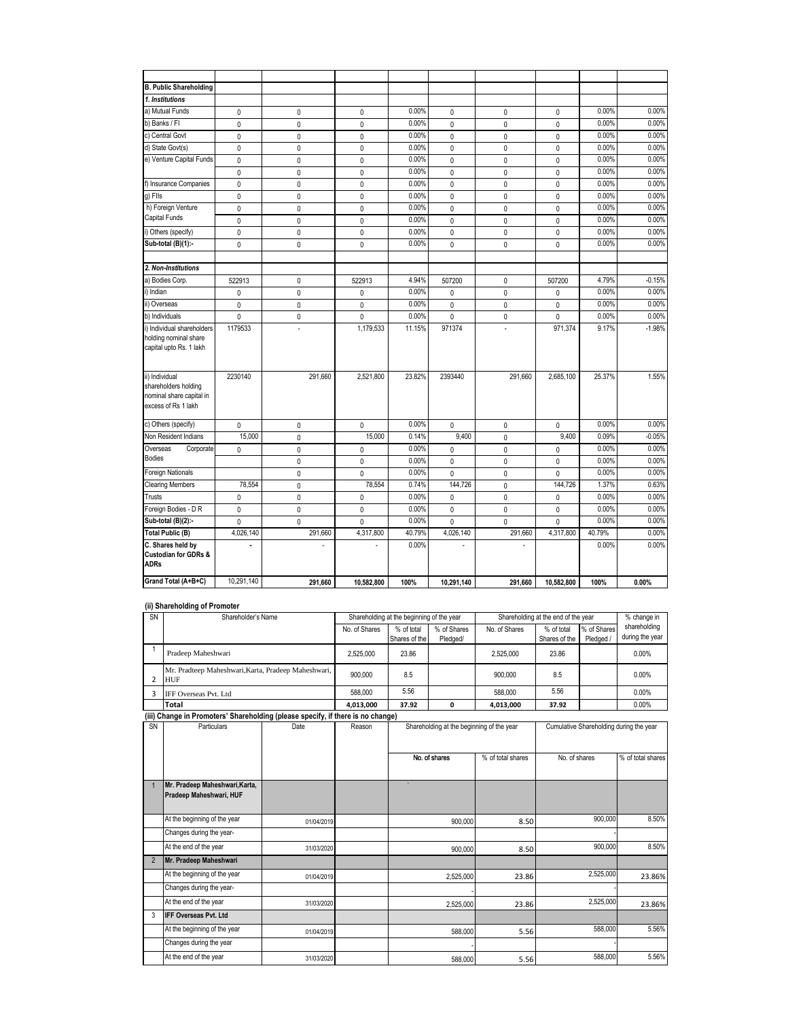| <b>B. Public Shareholding</b>                                                             |              |              |              |        |              |              |              |        |          |
|-------------------------------------------------------------------------------------------|--------------|--------------|--------------|--------|--------------|--------------|--------------|--------|----------|
| 1. Institutions                                                                           |              |              |              |        |              |              |              |        |          |
| a) Mutual Funds                                                                           | 0            | 0            | 0            | 0.00%  | 0            | 0            | 0            | 0.00%  | 0.00%    |
| b) Banks / FI                                                                             | 0            | 0            | 0            | 0.00%  | 0            | 0            | $\mathbf 0$  | 0.00%  | 0.00%    |
| c) Central Govt                                                                           | 0            | 0            | 0            | 0.00%  | $\mathbf 0$  | 0            | 0            | 0.00%  | 0.00%    |
| d) State Govt(s)                                                                          | 0            | $\pmb{0}$    | 0            | 0.00%  | $\pmb{0}$    | 0            | 0            | 0.00%  | 0.00%    |
| e) Venture Capital Funds                                                                  | $\pmb{0}$    | $\pmb{0}$    | $\mathbf 0$  | 0.00%  | $\pmb{0}$    | 0            | $\mathbf 0$  | 0.00%  | 0.00%    |
|                                                                                           | $\mathbf{0}$ | 0            | 0            | 0.00%  | $\mathbf 0$  | 0            | $\mathbf{0}$ | 0.00%  | 0.00%    |
| f) Insurance Companies                                                                    | 0            | $\pmb{0}$    | $\mathbf{0}$ | 0.00%  | $\mathbf 0$  | 0            | $\mathbf 0$  | 0.00%  | 0.00%    |
| g) Fils                                                                                   | $\mathbf{0}$ | $\mathbf{0}$ | $\mathbf 0$  | 0.00%  | $\mathbf 0$  | 0            | $\mathbf 0$  | 0.00%  | 0.00%    |
| h) Foreign Venture                                                                        | 0            | 0            | 0            | 0.00%  | $\mathbf 0$  | 0            | $\mathbf{0}$ | 0.00%  | 0.00%    |
| Capital Funds                                                                             | 0            | $\mathbf{0}$ | $\mathbf{0}$ | 0.00%  | $\mathbf 0$  | 0            | $\mathbf{0}$ | 0.00%  | 0.00%    |
| i) Others (specify)                                                                       | 0            | $\pmb{0}$    | 0            | 0.00%  | $\mathbf 0$  | 0            | 0            | 0.00%  | 0.00%    |
| Sub-total (B)(1):-                                                                        | 0            | $\pmb{0}$    | $\mathbf{0}$ | 0.00%  | $\mathbf 0$  | 0            | 0            | 0.00%  | 0.00%    |
|                                                                                           |              |              |              |        |              |              |              |        |          |
| 2. Non-Institutions                                                                       |              |              |              |        |              |              |              |        |          |
| a) Bodies Corp.                                                                           | 522913       | 0            | 522913       | 4.94%  | 507200       | 0            | 507200       | 4.79%  | $-0.15%$ |
| i) Indian                                                                                 | 0            | $\pmb{0}$    | 0            | 0.00%  | 0            | 0            | 0            | 0.00%  | 0.00%    |
| ii) Overseas                                                                              | 0            | $\mathbf{0}$ | 0            | 0.00%  | $\mathbf 0$  | 0            | 0            | 0.00%  | 0.00%    |
| b) Individuals                                                                            | $\mathbf 0$  | $\mathbf 0$  | $\mathbf 0$  | 0.00%  | $\mathbf 0$  | $\mathbf{0}$ | $\mathbf 0$  | 0.00%  | 0.00%    |
| i) Individual shareholders<br>holding nominal share<br>capital upto Rs. 1 lakh            | 1179533      | l,           | 1,179,533    | 11.15% | 971374       |              | 971,374      | 9.17%  | $-1.98%$ |
| ii) Individual<br>shareholders holding<br>nominal share capital in<br>excess of Rs 1 lakh | 2230140      | 291,660      | 2,521,800    | 23.82% | 2393440      | 291,660      | 2,685,100    | 25.37% | 1.55%    |
| c) Others (specify)                                                                       | 0            | $\pmb{0}$    | $\mathbf 0$  | 0.00%  | $\mathbf 0$  | 0            | $\mathbf 0$  | 0.00%  | 0.00%    |
| Non Resident Indians                                                                      | 15,000       | 0            | 15,000       | 0.14%  | 9.400        | 0            | 9.400        | 0.09%  | $-0.05%$ |
| Overseas<br>Corporate                                                                     | 0            | $\mathbf 0$  | $\mathbf{0}$ | 0.00%  | $\mathbf 0$  | $\mathbf{0}$ | 0            | 0.00%  | 0.00%    |
| <b>Bodies</b>                                                                             |              | $\pmb{0}$    | 0            | 0.00%  | $\pmb{0}$    | 0            | 0            | 0.00%  | 0.00%    |
| Foreign Nationals                                                                         |              | $\pmb{0}$    | 0            | 0.00%  | $\mathbf 0$  | 0            | $\mathbf 0$  | 0.00%  | 0.00%    |
| <b>Clearing Members</b>                                                                   | 78,554       | $\mathbf{0}$ | 78,554       | 0.74%  | 144,726      | $\mathbf{0}$ | 144,726      | 1.37%  | 0.63%    |
| Trusts                                                                                    | 0            | $\pmb{0}$    | 0            | 0.00%  | 0            | $\mathbf{0}$ | 0            | 0.00%  | 0.00%    |
| Foreign Bodies - D R                                                                      | $\mathbf{0}$ | $\mathbf{0}$ | $\mathbf 0$  | 0.00%  | $\mathbf 0$  | $\mathbf{0}$ | $\mathbf 0$  | 0.00%  | 0.00%    |
| Sub-total (B)(2):-                                                                        | $\mathbf{0}$ | $\mathbf{0}$ | $\mathbf{0}$ | 0.00%  | $\mathbf{0}$ | 0            | $\mathbf{0}$ | 0.00%  | 0.00%    |
| <b>Total Public (B)</b>                                                                   | 4,026,140    | 291,660      | 4,317,800    | 40.79% | 4,026,140    | 291,660      | 4,317,800    | 40.79% | 0.00%    |
| C. Shares held by<br><b>Custodian for GDRs &amp;</b><br><b>ADRs</b>                       |              |              | ä,           | 0.00%  |              |              |              | 0.00%  | 0.00%    |
| Grand Total (A+B+C)                                                                       | 10,291,140   | 291,660      | 10,582,800   | 100%   | 10,291,140   | 291,660      | 10,582,800   | 100%   | 0.00%    |

#### **(ii) Shareholding of Promoter**

| ,, -.<br>SN    | Shareholder's Name                                                              |            |               | Shareholding at the beginning of the year |                                           | Shareholding at the end of the year |                             |                          | % change in                             |
|----------------|---------------------------------------------------------------------------------|------------|---------------|-------------------------------------------|-------------------------------------------|-------------------------------------|-----------------------------|--------------------------|-----------------------------------------|
|                |                                                                                 |            | No. of Shares | % of total<br>Shares of the               | % of Shares<br>Pledged/                   | No. of Shares                       | % of total<br>Shares of the | % of Shares<br>Pledged / | shareholding<br>during the year         |
| 1              | Pradeep Maheshwari                                                              |            | 2,525,000     | 23.86                                     |                                           | 2,525,000                           | 23.86                       |                          | $0.00\%$                                |
| 2              | Mr. Pradteep Maheshwari, Karta, Pradeep Maheshwari,<br><b>HUF</b>               |            | 900,000       | 8.5                                       |                                           | 900,000                             | 8.5                         |                          | $0.00\%$                                |
| 3              | IFF Overseas Pvt. Ltd                                                           |            | 588,000       | 5.56                                      |                                           | 588,000                             | 5.56                        |                          | $0.00\%$                                |
|                | Total                                                                           |            | 4,013,000     | 37.92                                     | 0                                         | 4,013,000                           | 37.92                       |                          | $0.00\%$                                |
|                | (iii) Change in Promoters' Shareholding (please specify, if there is no change) |            |               |                                           |                                           |                                     |                             |                          |                                         |
| SN             | Particulars                                                                     | Date       | Reason        |                                           | Shareholding at the beginning of the year |                                     |                             |                          | Cumulative Shareholding during the year |
|                |                                                                                 |            |               |                                           |                                           |                                     |                             |                          |                                         |
|                |                                                                                 |            |               |                                           | No. of shares                             | % of total shares                   | No. of shares               |                          | % of total shares                       |
|                |                                                                                 |            |               |                                           |                                           |                                     |                             |                          |                                         |
| $\mathbf{1}$   | Mr. Pradeep Maheshwari, Karta,<br>Pradeep Maheshwari, HUF                       |            |               |                                           |                                           |                                     |                             |                          |                                         |
|                | At the beginning of the year                                                    | 01/04/2019 |               |                                           | 900.000                                   | 8.50                                |                             | 900,000                  | 8.50%                                   |
|                | Changes during the year-                                                        |            |               |                                           |                                           |                                     |                             |                          |                                         |
|                | At the end of the year                                                          | 31/03/2020 |               |                                           | 900.000                                   | 8.50                                |                             | 900.000                  | 8.50%                                   |
| $\overline{2}$ | Mr. Pradeep Maheshwari                                                          |            |               |                                           |                                           |                                     |                             |                          |                                         |
|                | At the beginning of the year                                                    | 01/04/2019 |               |                                           | 2,525,000                                 | 23.86                               |                             | 2,525,000                | 23.86%                                  |
|                | Changes during the year-                                                        |            |               |                                           |                                           |                                     |                             |                          |                                         |
|                | At the end of the year                                                          | 31/03/2020 |               |                                           | 2,525,000                                 | 23.86                               |                             | 2,525,000                | 23.86%                                  |
| 3              | <b>IFF Overseas Pvt. Ltd</b>                                                    |            |               |                                           |                                           |                                     |                             |                          |                                         |
|                | At the beginning of the year                                                    | 01/04/2019 |               |                                           | 588,000                                   | 5.56                                |                             | 588,000                  | 5.56%                                   |
|                | Changes during the year                                                         |            |               |                                           |                                           |                                     |                             |                          |                                         |
|                | At the end of the year                                                          | 31/03/2020 |               |                                           | 588,000                                   | 5.56                                |                             | 588,000                  | 5.56%                                   |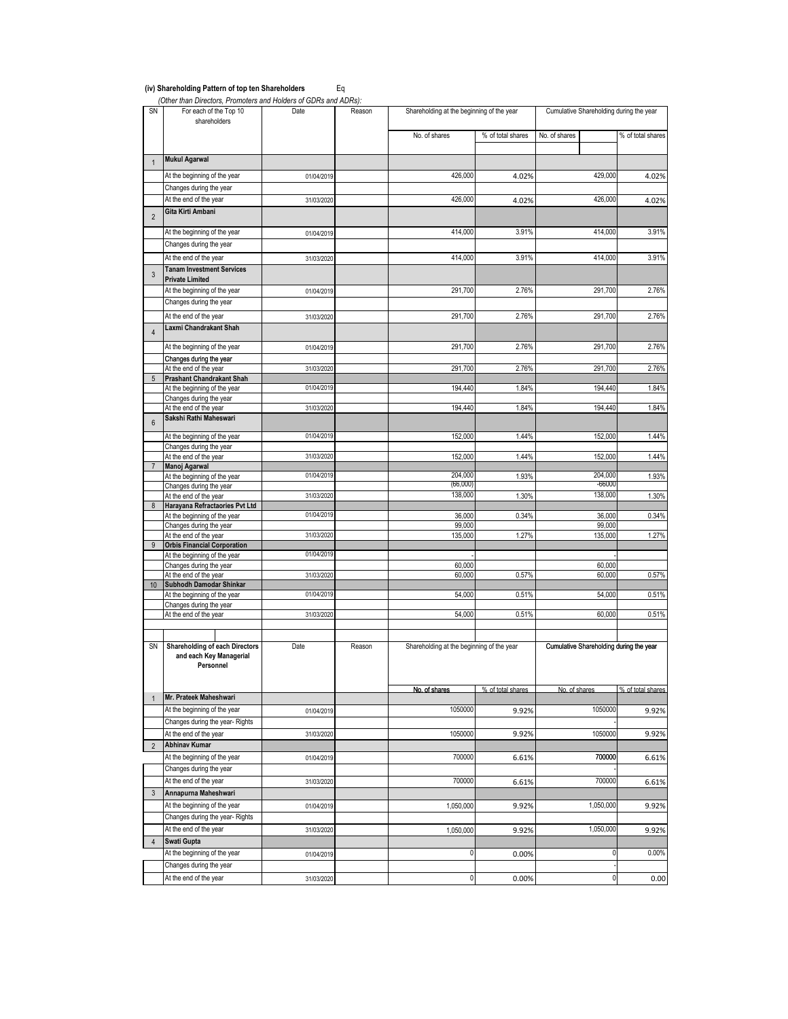#### **(iv) Shareholding Pattern of top ten Shareholders** Eq

 *(Other than Directors, Promoters and Holders of GDRs and ADRs):*

| SN               | For each of the Top 10<br>shareholders                                        | Date       | Reason | Shareholding at the beginning of the year |                   | Cumulative Shareholding during the year |                   |
|------------------|-------------------------------------------------------------------------------|------------|--------|-------------------------------------------|-------------------|-----------------------------------------|-------------------|
|                  |                                                                               |            |        | No. of shares                             | % of total shares | No. of shares                           | % of total shares |
| $\mathbf{1}$     | <b>Mukul Agarwal</b>                                                          |            |        |                                           |                   |                                         |                   |
|                  | At the beginning of the year                                                  |            |        | 426,000                                   |                   | 429,000                                 | 4.02%             |
|                  | Changes during the year                                                       | 01/04/2019 |        |                                           | 4.02%             |                                         |                   |
|                  | At the end of the year                                                        | 31/03/2020 |        | 426,000                                   | 4.02%             | 426,000                                 | 4.02%             |
|                  | Gita Kirti Ambani                                                             |            |        |                                           |                   |                                         |                   |
| $\overline{2}$   | At the beginning of the year                                                  |            |        | 414,000                                   | 3.91%             | 414,000                                 | 3.91%             |
|                  | Changes during the year                                                       | 01/04/2019 |        |                                           |                   |                                         |                   |
|                  | At the end of the year                                                        | 31/03/2020 |        | 414,000                                   | 3.91%             | 414,000                                 | 3.91%             |
|                  | <b>Tanam Investment Services</b>                                              |            |        |                                           |                   |                                         |                   |
| 3                | <b>Private Limited</b>                                                        |            |        |                                           |                   |                                         |                   |
|                  | At the beginning of the year                                                  | 01/04/2019 |        | 291,700                                   | 2.76%             | 291,700                                 | 2.76%             |
|                  | Changes during the year                                                       |            |        |                                           |                   |                                         |                   |
|                  | At the end of the year                                                        | 31/03/2020 |        | 291,700                                   | 2.76%             | 291,700                                 | 2.76%             |
| $\overline{4}$   | Laxmi Chandrakant Shah                                                        |            |        |                                           |                   |                                         |                   |
|                  | At the beginning of the year                                                  | 01/04/2019 |        | 291,700                                   | 2.76%             | 291,700                                 | 2.76%             |
|                  | Changes during the year                                                       | 31/03/2020 |        |                                           |                   |                                         |                   |
| 5                | At the end of the year<br><b>Prashant Chandrakant Shah</b>                    |            |        | 291,700                                   | 2.76%             | 291,700                                 | 2.76%             |
|                  | At the beginning of the year                                                  | 01/04/2019 |        | 194,440                                   | 1.84%             | 194,440                                 | 1.84%             |
|                  | Changes during the year                                                       |            |        |                                           |                   |                                         |                   |
| $6\phantom{1}$   | At the end of the year<br>Sakshi Rathi Maheswari                              | 31/03/2020 |        | 194,440                                   | 1.84%             | 194,440                                 | 1.84%             |
|                  | At the beginning of the year                                                  | 01/04/2019 |        | 152,000                                   | 1.44%             | 152,000                                 | 1.44%             |
|                  | Changes during the year                                                       |            |        |                                           |                   |                                         |                   |
|                  | At the end of the year                                                        | 31/03/2020 |        | 152,000                                   | 1.44%             | 152,000                                 | 1.44%             |
|                  | Manoj Agarwal                                                                 |            |        |                                           |                   |                                         |                   |
|                  | At the beginning of the year<br>Changes during the year                       | 01/04/2019 |        | 204,000<br>(66,000)                       | 1.93%             | 204,000<br>-66000                       | 1.93%             |
|                  | At the end of the year                                                        | 31/03/2020 |        | 138,000                                   | 1.30%             | 138,000                                 | 1.30%             |
| 8                | Harayana Refractaories Pvt Ltd                                                |            |        |                                           |                   |                                         |                   |
|                  | At the beginning of the year<br>Changes during the year                       | 01/04/2019 |        | 36,000<br>99,000                          | 0.34%             | 36,000<br>99,000                        | 0.34%             |
|                  | At the end of the year                                                        | 31/03/2020 |        | 135,000                                   | 1.27%             | 135,000                                 | 1.27%             |
| 9                | <b>Orbis Financial Corporation</b>                                            |            |        |                                           |                   |                                         |                   |
|                  | At the beginning of the year                                                  | 01/04/2019 |        |                                           |                   |                                         |                   |
|                  | Changes during the year<br>At the end of the year                             | 31/03/2020 |        | 60,000<br>60,000                          | 0.57%             | 60,000<br>60,000                        | 0.57%             |
| 10 <sup>10</sup> | Subhodh Damodar Shinkar                                                       |            |        |                                           |                   |                                         |                   |
|                  | At the beginning of the year                                                  | 01/04/2019 |        | 54,000                                    | 0.51%             | 54,000                                  | 0.51%             |
|                  | Changes during the year<br>At the end of the year                             | 31/03/2020 |        | 54,000                                    | 0.51%             | 60,000                                  | 0.51%             |
|                  |                                                                               |            |        |                                           |                   |                                         |                   |
| SN               | <b>Shareholding of each Directors</b><br>and each Key Managerial<br>Personnel | Date       | Reason | Shareholding at the beginning of the year |                   | Cumulative Shareholding during the year |                   |
| $\mathbf{1}$     | Mr. Prateek Maheshwari                                                        |            |        | No. of shares                             | % of total shares | No. of shares                           | % of total shares |
|                  | At the beginning of the year                                                  | 01/04/2019 |        | 1050000                                   | 9.92%             | 1050000                                 | 9.92%             |
|                  | Changes during the year-Rights                                                |            |        |                                           |                   |                                         |                   |
|                  | At the end of the year                                                        | 31/03/2020 |        | 1050000                                   | 9.92%             | 1050000                                 | 9.92%             |
| $\overline{2}$   | <b>Abhinav Kumar</b>                                                          |            |        |                                           |                   |                                         |                   |
|                  | At the beginning of the year                                                  | 01/04/2019 |        | 700000                                    | 6.61%             | 700000                                  | 6.61%             |
|                  | Changes during the year                                                       |            |        |                                           |                   |                                         |                   |
|                  | At the end of the year                                                        | 31/03/2020 |        | 700000                                    | 6.61%             | 700000                                  | 6.61%             |
| 3                | Annapurna Maheshwari                                                          |            |        |                                           |                   |                                         |                   |
|                  | At the beginning of the year                                                  | 01/04/2019 |        | 1,050,000                                 | 9.92%             | 1,050,000                               | 9.92%             |
|                  | Changes during the year-Rights                                                |            |        |                                           |                   |                                         |                   |
|                  | At the end of the year                                                        | 31/03/2020 |        | 1,050,000                                 | 9.92%             | 1,050,000                               | 9.92%             |
| $\sqrt{4}$       | Swati Gupta                                                                   |            |        |                                           |                   |                                         |                   |
|                  | At the beginning of the year                                                  | 01/04/2019 |        | 0                                         | 0.00%             | 0                                       | 0.00%             |
|                  | Changes during the year                                                       |            |        | 0                                         |                   | 0                                       |                   |
|                  | At the end of the year                                                        | 31/03/2020 |        |                                           | 0.00%             |                                         | 0.00              |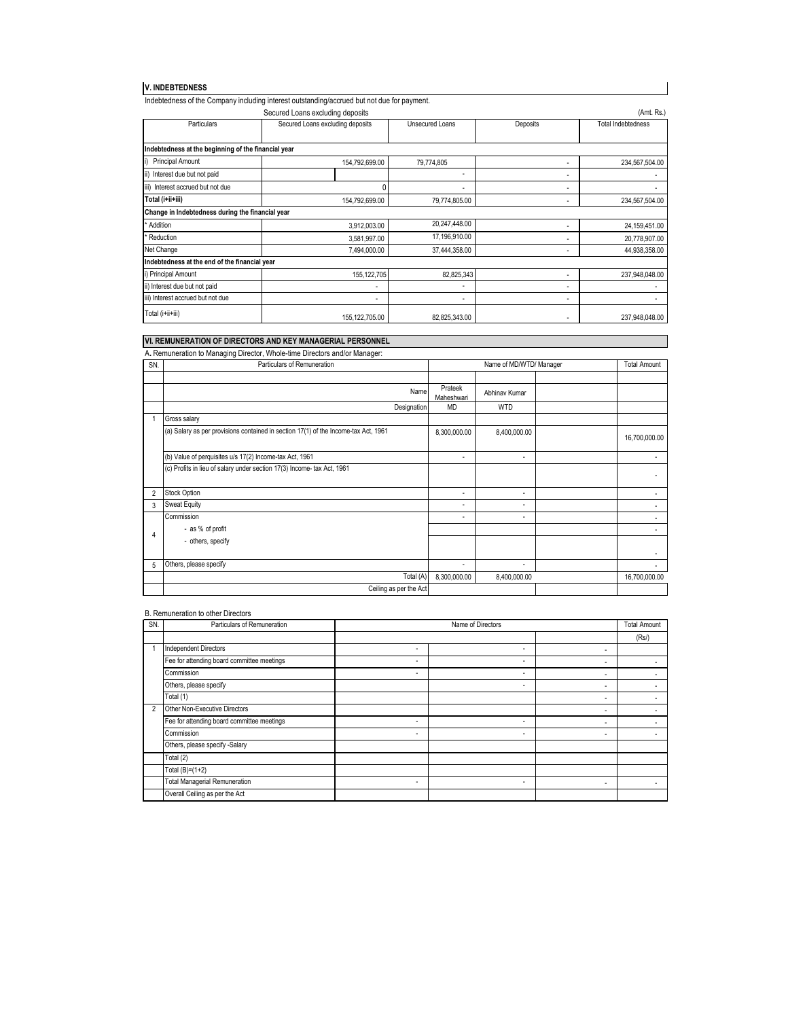#### **V. INDEBTEDNESS**

|                                                     | Indebtedness of the Company including interest outstanding/accrued but not due for payment. |                 |          |                           |
|-----------------------------------------------------|---------------------------------------------------------------------------------------------|-----------------|----------|---------------------------|
|                                                     | Secured Loans excluding deposits                                                            |                 |          | (Amt. Rs.)                |
| Particulars                                         | Secured Loans excluding deposits                                                            | Unsecured Loans | Deposits | <b>Total Indebtedness</b> |
|                                                     |                                                                                             |                 |          |                           |
| Indebtedness at the beginning of the financial year |                                                                                             |                 |          |                           |
| i)<br><b>Principal Amount</b>                       | 154,792,699.00                                                                              | 79,774,805      | ٠        | 234,567,504.00            |
| ii)<br>Interest due but not paid                    |                                                                                             |                 | ٠        |                           |
| iii)<br>Interest accrued but not due                |                                                                                             |                 | ٠        |                           |
| Total (i+ii+iii)                                    | 154,792,699.00                                                                              | 79,774,805.00   | ٠        | 234,567,504.00            |
| Change in Indebtedness during the financial year    |                                                                                             |                 |          |                           |
| * Addition                                          | 3,912,003.00                                                                                | 20,247,448.00   | ٠        | 24,159,451.00             |
| * Reduction                                         | 3,581,997.00                                                                                | 17,196,910.00   | ٠        | 20.778.907.00             |
| Net Change                                          | 7.494.000.00                                                                                | 37,444,358.00   | ٠        | 44.938.358.00             |
| Indebtedness at the end of the financial year       |                                                                                             |                 |          |                           |
| i) Principal Amount                                 | 155,122,705                                                                                 | 82,825,343      | ٠        | 237,948,048.00            |
| ii) Interest due but not paid                       | ٠                                                                                           |                 | ٠        |                           |
| iii) Interest accrued but not due                   | ۰                                                                                           | $\overline{a}$  | ٠        |                           |
| Total (i+ii+iii)                                    | 155, 122, 705.00                                                                            | 82,825,343.00   |          | 237,948,048.00            |

 $\overline{\phantom{a}}$ 

# **VI. REMUNERATION OF DIRECTORS AND KEY MANAGERIAL PERSONNEL**

|                | A. Remuneration to Managing Director, Whole-time Directors and/or Manager:          |                       |                         |  |                     |  |  |
|----------------|-------------------------------------------------------------------------------------|-----------------------|-------------------------|--|---------------------|--|--|
| SN.            | Particulars of Remuneration                                                         |                       | Name of MD/WTD/ Manager |  | <b>Total Amount</b> |  |  |
|                |                                                                                     |                       |                         |  |                     |  |  |
|                | Name                                                                                | Prateek<br>Maheshwari | Abhinav Kumar           |  |                     |  |  |
|                | Designation                                                                         | <b>MD</b>             | <b>WTD</b>              |  |                     |  |  |
|                | Gross salary                                                                        |                       |                         |  |                     |  |  |
|                | (a) Salary as per provisions contained in section 17(1) of the Income-tax Act, 1961 | 8,300,000.00          | 8,400,000.00            |  | 16,700,000.00       |  |  |
|                | (b) Value of perquisites u/s 17(2) Income-tax Act, 1961                             | ٠                     | ٠                       |  |                     |  |  |
|                | (c) Profits in lieu of salary under section 17(3) Income- tax Act, 1961             |                       |                         |  |                     |  |  |
| $\overline{2}$ | Stock Option                                                                        | ۰                     | ٠                       |  |                     |  |  |
| 3              | <b>Sweat Equity</b>                                                                 | ٠                     | $\sim$                  |  |                     |  |  |
|                | Commission                                                                          | ٠                     | ٠                       |  |                     |  |  |
| 4              | - as % of profit                                                                    |                       |                         |  |                     |  |  |
|                | - others, specify                                                                   |                       |                         |  |                     |  |  |
|                |                                                                                     |                       |                         |  |                     |  |  |
| 5              | Others, please specify                                                              | ٠                     | ٠                       |  |                     |  |  |
|                | Total (A)                                                                           | 8,300,000.00          | 8,400,000.00            |  | 16,700,000.00       |  |  |
|                | Ceiling as per the Act                                                              |                       |                         |  |                     |  |  |

#### B. Remuneration to other Directors

| SN.            | Particulars of Remuneration                |                          | Name of Directors |                          |      |  |  |
|----------------|--------------------------------------------|--------------------------|-------------------|--------------------------|------|--|--|
|                |                                            |                          |                   |                          | (Rs) |  |  |
|                | Independent Directors                      | ٠                        | ٠                 | ٠                        |      |  |  |
|                | Fee for attending board committee meetings | ۰                        | ٠                 | ٠                        |      |  |  |
|                | Commission                                 | ٠                        | ٠                 | ٠                        |      |  |  |
|                | Others, please specify                     |                          | ۰                 | ٠                        |      |  |  |
|                | Total (1)                                  |                          |                   | ٠                        |      |  |  |
| $\overline{2}$ | Other Non-Executive Directors              |                          |                   | $\overline{\phantom{a}}$ |      |  |  |
|                | Fee for attending board committee meetings | $\overline{\phantom{a}}$ | ٠                 | $\overline{\phantom{a}}$ |      |  |  |
|                | Commission                                 | $\overline{\phantom{a}}$ | ٠                 | ٠                        |      |  |  |
|                | Others, please specify -Salary             |                          |                   |                          |      |  |  |
|                | Total (2)                                  |                          |                   |                          |      |  |  |
|                | Total $(B)=(1+2)$                          |                          |                   |                          |      |  |  |
|                | <b>Total Managerial Remuneration</b>       | ٠                        | ٠                 | ٠                        | ٠    |  |  |
|                | Overall Ceiling as per the Act             |                          |                   |                          |      |  |  |